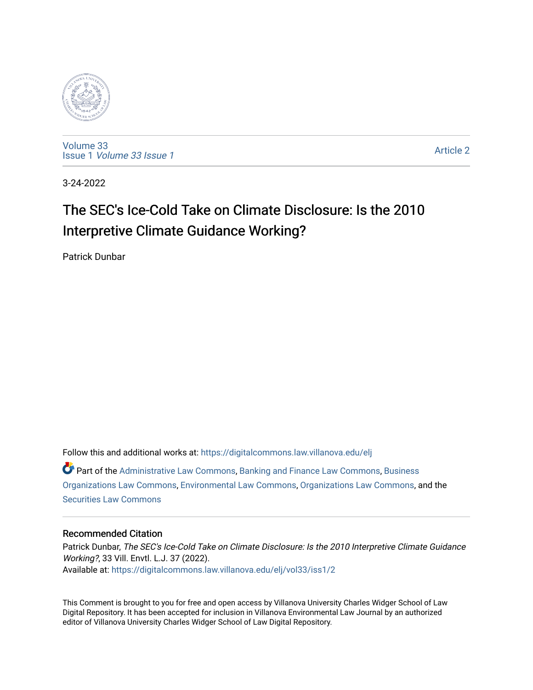

[Volume 33](https://digitalcommons.law.villanova.edu/elj/vol33) Issue 1 [Volume 33 Issue 1](https://digitalcommons.law.villanova.edu/elj/vol33/iss1) 

[Article 2](https://digitalcommons.law.villanova.edu/elj/vol33/iss1/2) 

3-24-2022

# The SEC's Ice-Cold Take on Climate Disclosure: Is the 2010 Interpretive Climate Guidance Working?

Patrick Dunbar

Follow this and additional works at: [https://digitalcommons.law.villanova.edu/elj](https://digitalcommons.law.villanova.edu/elj?utm_source=digitalcommons.law.villanova.edu%2Felj%2Fvol33%2Fiss1%2F2&utm_medium=PDF&utm_campaign=PDFCoverPages)   $\bullet$  Part of the [Administrative Law Commons,](http://network.bepress.com/hgg/discipline/579?utm_source=digitalcommons.law.villanova.edu%2Felj%2Fvol33%2Fiss1%2F2&utm_medium=PDF&utm_campaign=PDFCoverPages) [Banking and Finance Law Commons,](http://network.bepress.com/hgg/discipline/833?utm_source=digitalcommons.law.villanova.edu%2Felj%2Fvol33%2Fiss1%2F2&utm_medium=PDF&utm_campaign=PDFCoverPages) Business [Organizations Law Commons](http://network.bepress.com/hgg/discipline/900?utm_source=digitalcommons.law.villanova.edu%2Felj%2Fvol33%2Fiss1%2F2&utm_medium=PDF&utm_campaign=PDFCoverPages), [Environmental Law Commons,](http://network.bepress.com/hgg/discipline/599?utm_source=digitalcommons.law.villanova.edu%2Felj%2Fvol33%2Fiss1%2F2&utm_medium=PDF&utm_campaign=PDFCoverPages) [Organizations Law Commons](http://network.bepress.com/hgg/discipline/865?utm_source=digitalcommons.law.villanova.edu%2Felj%2Fvol33%2Fiss1%2F2&utm_medium=PDF&utm_campaign=PDFCoverPages), and the [Securities Law Commons](http://network.bepress.com/hgg/discipline/619?utm_source=digitalcommons.law.villanova.edu%2Felj%2Fvol33%2Fiss1%2F2&utm_medium=PDF&utm_campaign=PDFCoverPages)

# Recommended Citation

Patrick Dunbar, The SEC's Ice-Cold Take on Climate Disclosure: Is the 2010 Interpretive Climate Guidance Working?, 33 Vill. Envtl. L.J. 37 (2022). Available at: [https://digitalcommons.law.villanova.edu/elj/vol33/iss1/2](https://digitalcommons.law.villanova.edu/elj/vol33/iss1/2?utm_source=digitalcommons.law.villanova.edu%2Felj%2Fvol33%2Fiss1%2F2&utm_medium=PDF&utm_campaign=PDFCoverPages)

This Comment is brought to you for free and open access by Villanova University Charles Widger School of Law Digital Repository. It has been accepted for inclusion in Villanova Environmental Law Journal by an authorized editor of Villanova University Charles Widger School of Law Digital Repository.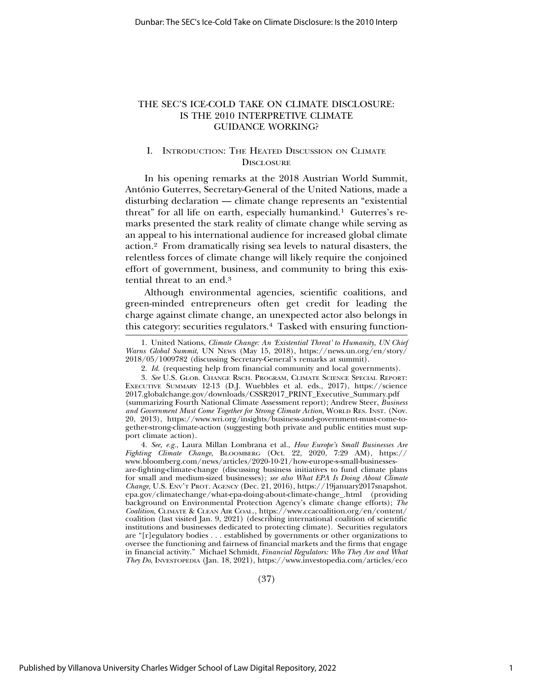# THE SEC'S ICE-COLD TAKE ON CLIMATE DISCLOSURE: IS THE 2010 INTERPRETIVE CLIMATE GUIDANCE WORKING?

# I. INTRODUCTION: THE HEATED DISCUSSION ON CLIMATE **DISCLOSURE**

In his opening remarks at the 2018 Austrian World Summit, António Guterres, Secretary-General of the United Nations, made a disturbing declaration — climate change represents an "existential threat" for all life on earth, especially humankind.<sup>1</sup> Guterres's remarks presented the stark reality of climate change while serving as an appeal to his international audience for increased global climate action.2 From dramatically rising sea levels to natural disasters, the relentless forces of climate change will likely require the conjoined effort of government, business, and community to bring this existential threat to an end.3

Although environmental agencies, scientific coalitions, and green-minded entrepreneurs often get credit for leading the charge against climate change, an unexpected actor also belongs in this category: securities regulators.4 Tasked with ensuring function-

4. *See, e.g.*, Laura Millan Lombrana et al., *How Europe's Small Businesses Are Fighting Climate Change*, BLOOMBERG (Oct. 22, 2020, 7:29 AM), https:// www.bloomberg.com/news/articles/2020-10-21/how-europe-s-small-businessesare-fighting-climate-change (discussing business initiatives to fund climate plans for small and medium-sized businesses); *see also What EPA Is Doing About Climate Change*, U.S. ENV'T PROT. AGENCY (Dec. 21, 2016), https://19january2017snapshot. epa.gov/climatechange/what-epa-doing-about-climate-change\_.html (providing background on Environmental Protection Agency's climate change efforts); *The Coalition*, CLIMATE & CLEAN AIR COAL., https://www.ccacoalition.org/en/content/ coalition (last visited Jan. 9, 2021) (describing international coalition of scientific institutions and businesses dedicated to protecting climate). Securities regulators are "[r]egulatory bodies . . . established by governments or other organizations to oversee the functioning and fairness of financial markets and the firms that engage in financial activity." Michael Schmidt, *Financial Regulators: Who They Are and What They Do*, INVESTOPEDIA (Jan. 18, 2021), https://www.investopedia.com/articles/eco

(37)

<sup>1.</sup> United Nations, *Climate Change: An 'Existential Threat' to Humanity, UN Chief Warns Global Summit*, UN NEWS (May 15, 2018), https://news.un.org/en/story/ 2018/05/1009782 (discussing Secretary-General's remarks at summit).

<sup>2.</sup> *Id.* (requesting help from financial community and local governments).

<sup>3.</sup> *See* U.S. GLOB. CHANGE RSCH. PROGRAM, CLIMATE SCIENCE SPECIAL REPORT: EXECUTIVE SUMMARY 12-13 (D.J. Wuebbles et al. eds., 2017), https://science 2017.globalchange.gov/downloads/CSSR2017\_PRINT\_Executive\_Summary.pdf (summarizing Fourth National Climate Assessment report); Andrew Steer, *Business and Government Must Come Together for Strong Climate Action*, WORLD RES. INST. (Nov. 20, 2013), https://www.wri.org/insights/business-and-government-must-come-together-strong-climate-action (suggesting both private and public entities must support climate action).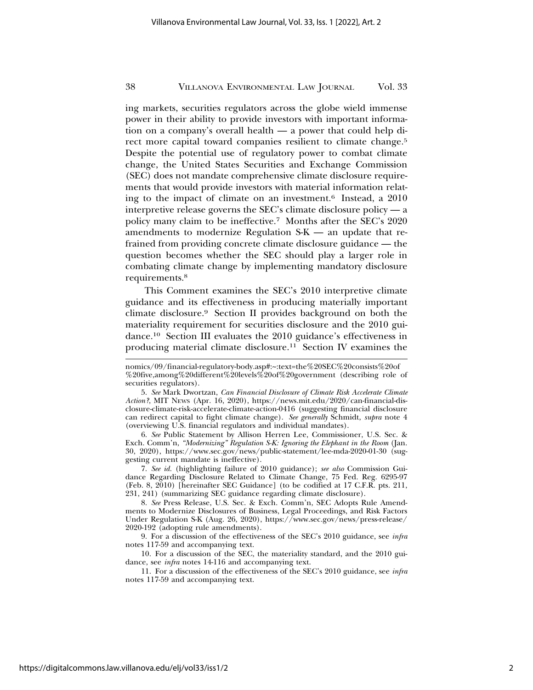ing markets, securities regulators across the globe wield immense power in their ability to provide investors with important information on a company's overall health — a power that could help direct more capital toward companies resilient to climate change.<sup>5</sup> Despite the potential use of regulatory power to combat climate change, the United States Securities and Exchange Commission (SEC) does not mandate comprehensive climate disclosure requirements that would provide investors with material information relating to the impact of climate on an investment.6 Instead, a 2010 interpretive release governs the SEC's climate disclosure policy — a policy many claim to be ineffective.7 Months after the SEC's 2020 amendments to modernize Regulation S-K — an update that refrained from providing concrete climate disclosure guidance — the question becomes whether the SEC should play a larger role in combating climate change by implementing mandatory disclosure requirements.8

This Comment examines the SEC's 2010 interpretive climate guidance and its effectiveness in producing materially important climate disclosure.9 Section II provides background on both the materiality requirement for securities disclosure and the 2010 guidance.10 Section III evaluates the 2010 guidance's effectiveness in producing material climate disclosure.11 Section IV examines the

6. *See* Public Statement by Allison Herren Lee, Commissioner, U.S. Sec. & Exch. Comm'n, *"Modernizing" Regulation S-K: Ignoring the Elephant in the Room* (Jan. 30, 2020), https://www.sec.gov/news/public-statement/lee-mda-2020-01-30 (suggesting current mandate is ineffective).

7. *See id.* (highlighting failure of 2010 guidance); *see also* Commission Guidance Regarding Disclosure Related to Climate Change, 75 Fed. Reg. 6295-97 (Feb. 8, 2010) [hereinafter SEC Guidance] (to be codified at 17 C.F.R. pts. 211, 231, 241) (summarizing SEC guidance regarding climate disclosure).

8. *See* Press Release, U.S. Sec. & Exch. Comm'n, SEC Adopts Rule Amendments to Modernize Disclosures of Business, Legal Proceedings, and Risk Factors Under Regulation S-K (Aug. 26, 2020), https://www.sec.gov/news/press-release/ 2020-192 (adopting rule amendments).

9. For a discussion of the effectiveness of the SEC's 2010 guidance, see *infra* notes 117-59 and accompanying text.

10. For a discussion of the SEC, the materiality standard, and the 2010 guidance, see *infra* notes 14-116 and accompanying text.

11. For a discussion of the effectiveness of the SEC's 2010 guidance, see *infra* notes 117-59 and accompanying text.

nomics/09/financial-regulatory-body.asp#:~:text=the%20SEC%20consists%20of %20five,among%20different%20levels%20of%20government (describing role of securities regulators).

<sup>5.</sup> *See* Mark Dwortzan, *Can Financial Disclosure of Climate Risk Accelerate Climate Action?*, MIT NEWS (Apr. 16, 2020), https://news.mit.edu/2020/can-financial-disclosure-climate-risk-accelerate-climate-action-0416 (suggesting financial disclosure can redirect capital to fight climate change). *See generally* Schmidt, *supra* note 4 (overviewing U.S. financial regulators and individual mandates).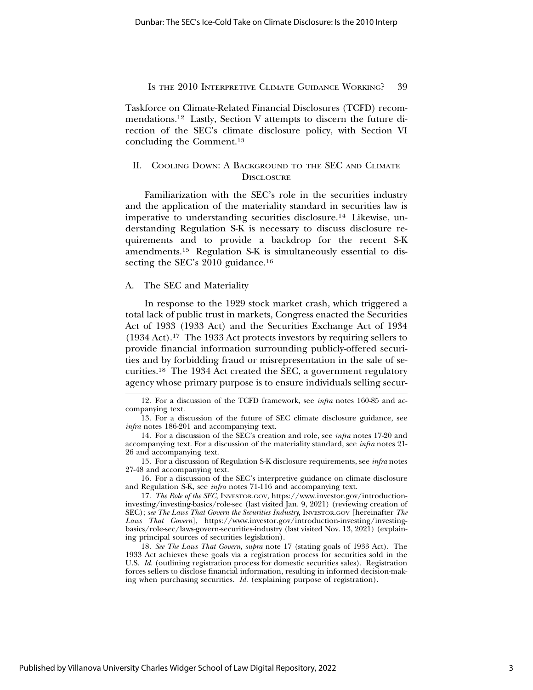Taskforce on Climate-Related Financial Disclosures (TCFD) recommendations.12 Lastly, Section V attempts to discern the future direction of the SEC's climate disclosure policy, with Section VI concluding the Comment.13

# II. COOLING DOWN: A BACKGROUND TO THE SEC AND CLIMATE **DISCLOSURE**

Familiarization with the SEC's role in the securities industry and the application of the materiality standard in securities law is imperative to understanding securities disclosure.14 Likewise, understanding Regulation S-K is necessary to discuss disclosure requirements and to provide a backdrop for the recent S-K amendments.15 Regulation S-K is simultaneously essential to dissecting the SEC's 2010 guidance.<sup>16</sup>

### A. The SEC and Materiality

In response to the 1929 stock market crash, which triggered a total lack of public trust in markets, Congress enacted the Securities Act of 1933 (1933 Act) and the Securities Exchange Act of 1934 (1934 Act).17 The 1933 Act protects investors by requiring sellers to provide financial information surrounding publicly-offered securities and by forbidding fraud or misrepresentation in the sale of securities.18 The 1934 Act created the SEC, a government regulatory agency whose primary purpose is to ensure individuals selling secur-

16. For a discussion of the SEC's interpretive guidance on climate disclosure and Regulation S-K, see *infra* notes 71-116 and accompanying text.

<sup>12.</sup> For a discussion of the TCFD framework, see *infra* notes 160-85 and accompanying text.

<sup>13.</sup> For a discussion of the future of SEC climate disclosure guidance, see *infra* notes 186-201 and accompanying text.

<sup>14.</sup> For a discussion of the SEC's creation and role, see *infra* notes 17-20 and accompanying text. For a discussion of the materiality standard, see *infra* notes 21- 26 and accompanying text.

<sup>15.</sup> For a discussion of Regulation S-K disclosure requirements, see *infra* notes 27-48 and accompanying text.

<sup>17.</sup> *The Role of the SEC*, INVESTOR.GOV, https://www.investor.gov/introductioninvesting/investing-basics/role-sec (last visited Jan. 9, 2021) (reviewing creation of SEC); *see The Laws That Govern the Securities Industry*, INVESTOR.GOV [hereinafter *The Laws That Govern*], https://www.investor.gov/introduction-investing/investingbasics/role-sec/laws-govern-securities-industry (last visited Nov. 13, 2021) (explaining principal sources of securities legislation).

<sup>18.</sup> *See The Laws That Govern*, *supra* note 17 (stating goals of 1933 Act). The 1933 Act achieves these goals via a registration process for securities sold in the U.S. *Id.* (outlining registration process for domestic securities sales). Registration forces sellers to disclose financial information, resulting in informed decision-making when purchasing securities. *Id.* (explaining purpose of registration).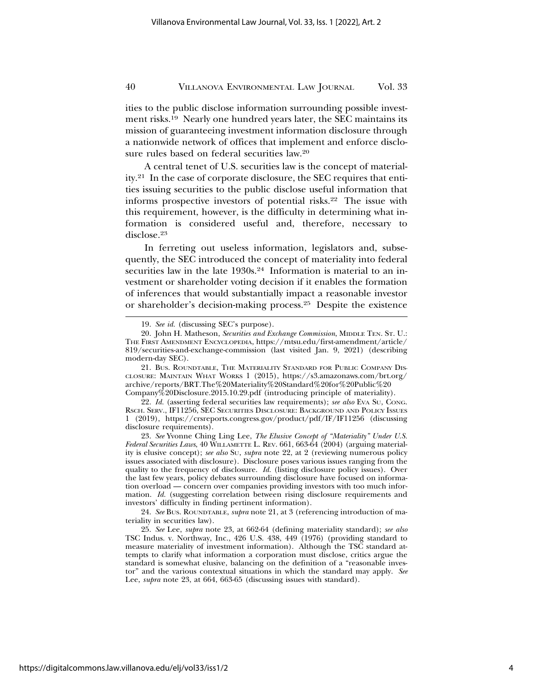ities to the public disclose information surrounding possible investment risks.19 Nearly one hundred years later, the SEC maintains its mission of guaranteeing investment information disclosure through a nationwide network of offices that implement and enforce disclosure rules based on federal securities law.20

A central tenet of U.S. securities law is the concept of materiality.21 In the case of corporate disclosure, the SEC requires that entities issuing securities to the public disclose useful information that informs prospective investors of potential risks.22 The issue with this requirement, however, is the difficulty in determining what information is considered useful and, therefore, necessary to disclose.23

In ferreting out useless information, legislators and, subsequently, the SEC introduced the concept of materiality into federal securities law in the late 1930s.<sup>24</sup> Information is material to an investment or shareholder voting decision if it enables the formation of inferences that would substantially impact a reasonable investor or shareholder's decision-making process.25 Despite the existence

<sup>19.</sup> *See id.* (discussing SEC's purpose).

<sup>20.</sup> John H. Matheson, *Securities and Exchange Commission*, MIDDLE TEN. ST. U.: THE FIRST AMENDMENT ENCYCLOPEDIA, https://mtsu.edu/first-amendment/article/ 819/securities-and-exchange-commission (last visited Jan. 9, 2021) (describing modern-day SEC).

<sup>21.</sup> BUS. ROUNDTABLE, THE MATERIALITY STANDARD FOR PUBLIC COMPANY DIS-CLOSURE: MAINTAIN WHAT WORKS 1 (2015), https://s3.amazonaws.com/brt.org/ archive/reports/BRT.The%20Materiality%20Standard%20for%20Public%20 Company%20Disclosure.2015.10.29.pdf (introducing principle of materiality).

<sup>22.</sup> *Id.* (asserting federal securities law requirements); *see also* EVA SU, CONG. RSCH. SERV., IF11256, SEC SECURITIES DISCLOSURE: BACKGROUND AND POLICY ISSUES 1 (2019), https://crsreports.congress.gov/product/pdf/IF/IF11256 (discussing disclosure requirements).

<sup>23.</sup> *See* Yvonne Ching Ling Lee, *The Elusive Concept of "Materiality" Under U.S. Federal Securities Laws*, 40 WILLAMETTE L. REV. 661, 663-64 (2004) (arguing materiality is elusive concept); *see also* SU, *supra* note 22, at 2 (reviewing numerous policy issues associated with disclosure). Disclosure poses various issues ranging from the quality to the frequency of disclosure. *Id.* (listing disclosure policy issues). Over the last few years, policy debates surrounding disclosure have focused on information overload — concern over companies providing investors with too much information. *Id.* (suggesting correlation between rising disclosure requirements and investors' difficulty in finding pertinent information).

<sup>24.</sup> *See* BUS. ROUNDTABLE, *supra* note 21, at 3 (referencing introduction of materiality in securities law).

<sup>25.</sup> *See* Lee, *supra* note 23, at 662-64 (defining materiality standard); *see also* TSC Indus. v. Northway, Inc., 426 U.S. 438, 449 (1976) (providing standard to measure materiality of investment information). Although the TSC standard attempts to clarify what information a corporation must disclose, critics argue the standard is somewhat elusive, balancing on the definition of a "reasonable investor" and the various contextual situations in which the standard may apply. *See* Lee, *supra* note 23, at 664, 663-65 (discussing issues with standard).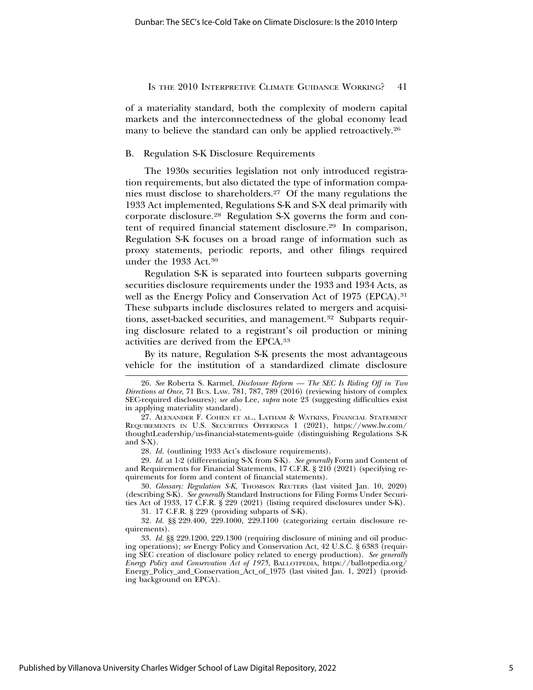of a materiality standard, both the complexity of modern capital markets and the interconnectedness of the global economy lead many to believe the standard can only be applied retroactively.<sup>26</sup>

# B. Regulation S-K Disclosure Requirements

The 1930s securities legislation not only introduced registration requirements, but also dictated the type of information companies must disclose to shareholders.27 Of the many regulations the 1933 Act implemented, Regulations S-K and S-X deal primarily with corporate disclosure.28 Regulation S-X governs the form and content of required financial statement disclosure.29 In comparison, Regulation S-K focuses on a broad range of information such as proxy statements, periodic reports, and other filings required under the 1933 Act.30

Regulation S-K is separated into fourteen subparts governing securities disclosure requirements under the 1933 and 1934 Acts, as well as the Energy Policy and Conservation Act of 1975 (EPCA).<sup>31</sup> These subparts include disclosures related to mergers and acquisitions, asset-backed securities, and management.32 Subparts requiring disclosure related to a registrant's oil production or mining activities are derived from the EPCA.33

By its nature, Regulation S-K presents the most advantageous vehicle for the institution of a standardized climate disclosure

28. *Id.* (outlining 1933 Act's disclosure requirements).

29. *Id.* at 1-2 (differentiating S-X from S-K). *See generally* Form and Content of and Requirements for Financial Statements, 17 C.F.R. § 210 (2021) (specifying requirements for form and content of financial statements).

30. *Glossary: Regulation S-K*, THOMSON REUTERS (last visited Jan. 10, 2020) (describing S-K). *See generally* Standard Instructions for Filing Forms Under Securities Act of 1933, 17 C.F.R. § 229 (2021) (listing required disclosures under S-K).

31. 17 C.F.R. § 229 (providing subparts of S-K).

32. *Id.* §§ 229.400, 229.1000, 229.1100 (categorizing certain disclosure requirements).

33. *Id.* §§ 229.1200, 229.1300 (requiring disclosure of mining and oil producing operations); *see* Energy Policy and Conservation Act, 42 U.S.C. § 6383 (requiring SEC creation of disclosure policy related to energy production). *See generally Energy Policy and Conservation Act of 1975*, BALLOTPEDIA, https://ballotpedia.org/ Energy\_Policy\_and\_Conservation\_Act\_of\_1975 (last visited Jan. 1, 2021) (providing background on EPCA).

<sup>26.</sup> *See* Roberta S. Karmel, *Disclosure Reform — The SEC Is Riding Off in Two Directions at Once*, 71 BUS. LAW. 781, 787, 789 (2016) (reviewing history of complex SEC-required disclosures); *see also* Lee, *supra* note 23 (suggesting difficulties exist in applying materiality standard).

<sup>27.</sup> ALEXANDER F. COHEN ET AL., LATHAM & WATKINS, FINANCIAL STATEMENT REQUIREMENTS IN U.S. SECURITIES OFFERINGS 1 (2021), https://www.lw.com/ thoughtLeadership/us-financial-statements-guide (distinguishing Regulations S-K and S-X).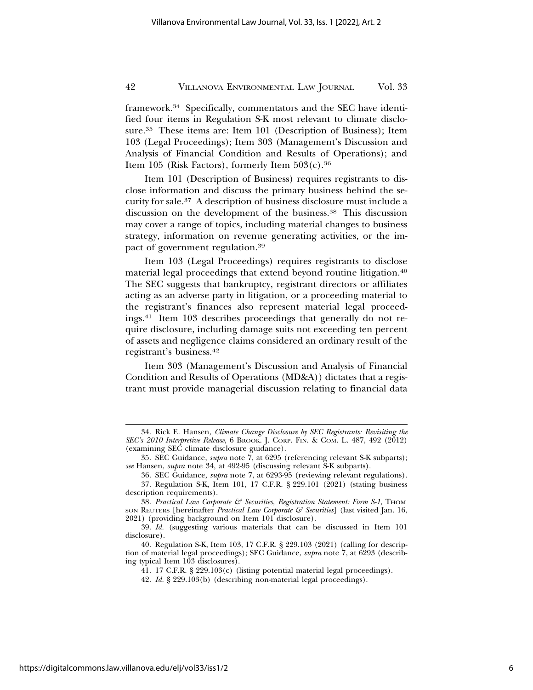framework.34 Specifically, commentators and the SEC have identified four items in Regulation S-K most relevant to climate disclosure.35 These items are: Item 101 (Description of Business); Item 103 (Legal Proceedings); Item 303 (Management's Discussion and Analysis of Financial Condition and Results of Operations); and Item 105 (Risk Factors), formerly Item  $503(c).^{36}$ 

Item 101 (Description of Business) requires registrants to disclose information and discuss the primary business behind the security for sale.37 A description of business disclosure must include a discussion on the development of the business.38 This discussion may cover a range of topics, including material changes to business strategy, information on revenue generating activities, or the impact of government regulation.39

Item 103 (Legal Proceedings) requires registrants to disclose material legal proceedings that extend beyond routine litigation.40 The SEC suggests that bankruptcy, registrant directors or affiliates acting as an adverse party in litigation, or a proceeding material to the registrant's finances also represent material legal proceedings.41 Item 103 describes proceedings that generally do not require disclosure, including damage suits not exceeding ten percent of assets and negligence claims considered an ordinary result of the registrant's business.42

Item 303 (Management's Discussion and Analysis of Financial Condition and Results of Operations (MD&A)) dictates that a registrant must provide managerial discussion relating to financial data

<sup>34.</sup> Rick E. Hansen, *Climate Change Disclosure by SEC Registrants: Revisiting the SEC's 2010 Interpretive Release*, 6 BROOK. J. CORP. FIN. & COM. L. 487, 492 (2012) (examining SEC climate disclosure guidance).

<sup>35.</sup> SEC Guidance, *supra* note 7, at 6295 (referencing relevant S-K subparts); *see* Hansen, *supra* note 34, at 492-95 (discussing relevant S-K subparts).

<sup>36.</sup> SEC Guidance, *supra* note 7, at 6293-95 (reviewing relevant regulations).

<sup>37.</sup> Regulation S-K, Item 101, 17 C.F.R. § 229.101 (2021) (stating business description requirements).

<sup>38.</sup> *Practical Law Corporate & Securities, Registration Statement: Form S-1*, THOM-SON REUTERS [hereinafter *Practical Law Corporate & Securities*] (last visited Jan. 16, 2021) (providing background on Item 101 disclosure).

<sup>39.</sup> *Id.* (suggesting various materials that can be discussed in Item 101 disclosure).

<sup>40.</sup> Regulation S-K, Item 103, 17 C.F.R. § 229.103 (2021) (calling for description of material legal proceedings); SEC Guidance, *supra* note 7, at 6293 (describing typical Item 103 disclosures).

<sup>41. 17</sup> C.F.R. § 229.103(c) (listing potential material legal proceedings).

<sup>42.</sup> *Id.* § 229.103(b) (describing non-material legal proceedings).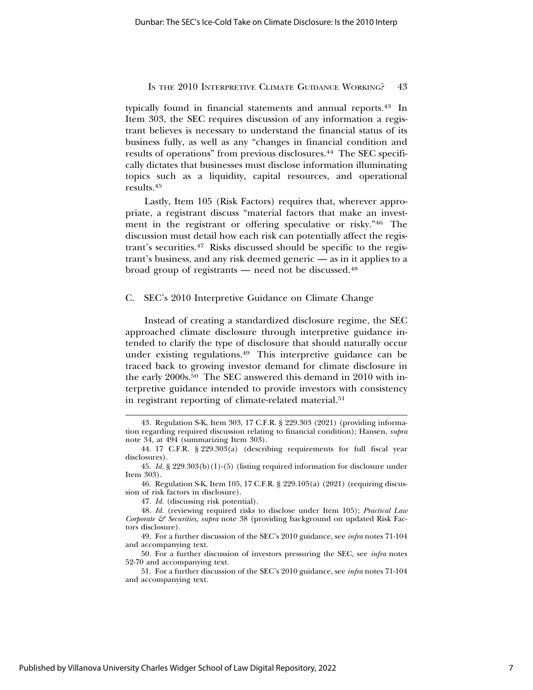typically found in financial statements and annual reports.43 In Item 303, the SEC requires discussion of any information a registrant believes is necessary to understand the financial status of its business fully, as well as any "changes in financial condition and results of operations" from previous disclosures.<sup>44</sup> The SEC specifically dictates that businesses must disclose information illuminating topics such as a liquidity, capital resources, and operational results.45

Lastly, Item 105 (Risk Factors) requires that, wherever appropriate, a registrant discuss "material factors that make an investment in the registrant or offering speculative or risky."46 The discussion must detail how each risk can potentially affect the registrant's securities.47 Risks discussed should be specific to the registrant's business, and any risk deemed generic — as in it applies to a broad group of registrants — need not be discussed.48

### C. SEC's 2010 Interpretive Guidance on Climate Change

Instead of creating a standardized disclosure regime, the SEC approached climate disclosure through interpretive guidance intended to clarify the type of disclosure that should naturally occur under existing regulations.49 This interpretive guidance can be traced back to growing investor demand for climate disclosure in the early 2000s.<sup>50</sup> The SEC answered this demand in 2010 with interpretive guidance intended to provide investors with consistency in registrant reporting of climate-related material.<sup>51</sup>

<sup>43.</sup> Regulation S-K, Item 303, 17 C.F.R. § 229.303 (2021) (providing information regarding required discussion relating to financial condition); Hansen, *supra* note 34, at 494 (summarizing Item 303).

<sup>44. 17</sup> C.F.R. § 229.303(a) (describing requirements for full fiscal year disclosures).

<sup>45.</sup> *Id.* § 229.303(b)(1)-(5) (listing required information for disclosure under Item 303).

<sup>46.</sup> Regulation S-K, Item 105, 17 C.F.R. § 229.105(a) (2021) (requiring discussion of risk factors in disclosure).

<sup>47.</sup> *Id.* (discussing risk potential).

<sup>48.</sup> *Id.* (reviewing required risks to disclose under Item 105); *Practical Law Corporate & Securities*, *supra* note 38 (providing background on updated Risk Factors disclosure).

<sup>49.</sup> For a further discussion of the SEC's 2010 guidance, see *infra* notes 71-104 and accompanying text.

<sup>50.</sup> For a further discussion of investors pressuring the SEC, see *infra* notes 52-70 and accompanying text.

<sup>51.</sup> For a further discussion of the SEC's 2010 guidance, see *infra* notes 71-104 and accompanying text.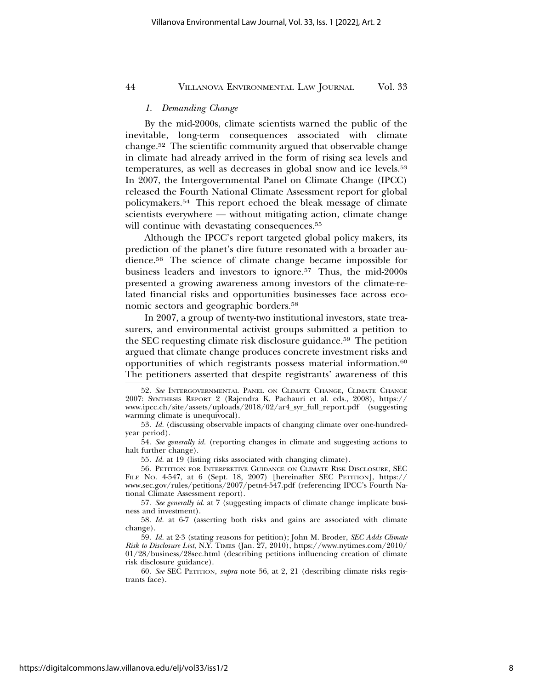# *1. Demanding Change*

By the mid-2000s, climate scientists warned the public of the inevitable, long-term consequences associated with climate change.52 The scientific community argued that observable change in climate had already arrived in the form of rising sea levels and temperatures, as well as decreases in global snow and ice levels.<sup>53</sup> In 2007, the Intergovernmental Panel on Climate Change (IPCC) released the Fourth National Climate Assessment report for global policymakers.54 This report echoed the bleak message of climate scientists everywhere — without mitigating action, climate change will continue with devastating consequences.<sup>55</sup>

Although the IPCC's report targeted global policy makers, its prediction of the planet's dire future resonated with a broader audience.56 The science of climate change became impossible for business leaders and investors to ignore.57 Thus, the mid-2000s presented a growing awareness among investors of the climate-related financial risks and opportunities businesses face across economic sectors and geographic borders.58

In 2007, a group of twenty-two institutional investors, state treasurers, and environmental activist groups submitted a petition to the SEC requesting climate risk disclosure guidance.59 The petition argued that climate change produces concrete investment risks and opportunities of which registrants possess material information.60 The petitioners asserted that despite registrants' awareness of this

55. *Id.* at 19 (listing risks associated with changing climate).

56. PETITION FOR INTERPRETIVE GUIDANCE ON CLIMATE RISK DISCLOSURE, SEC FILE NO. 4-547, at 6 (Sept. 18, 2007) [hereinafter SEC PETITION], https:// www.sec.gov/rules/petitions/2007/petn4-547.pdf (referencing IPCC's Fourth National Climate Assessment report).

57. *See generally id.* at 7 (suggesting impacts of climate change implicate business and investment).

58. *Id.* at 6-7 (asserting both risks and gains are associated with climate change).

59. *Id.* at 2-3 (stating reasons for petition); John M. Broder, *SEC Adds Climate Risk to Disclosure List*, N.Y. TIMES (Jan. 27, 2010), https://www.nytimes.com/2010/ 01/28/business/28sec.html (describing petitions influencing creation of climate risk disclosure guidance).

60. *See* SEC PETITION, *supra* note 56, at 2, 21 (describing climate risks registrants face).

<sup>52.</sup> *See* INTERGOVERNMENTAL PANEL ON CLIMATE CHANGE, CLIMATE CHANGE 2007: SYNTHESIS REPORT 2 (Rajendra K. Pachauri et al. eds., 2008), https:// www.ipcc.ch/site/assets/uploads/2018/02/ar4\_syr\_full\_report.pdf (suggesting warming climate is unequivocal).

<sup>53.</sup> *Id.* (discussing observable impacts of changing climate over one-hundredyear period).

<sup>54.</sup> *See generally id.* (reporting changes in climate and suggesting actions to halt further change).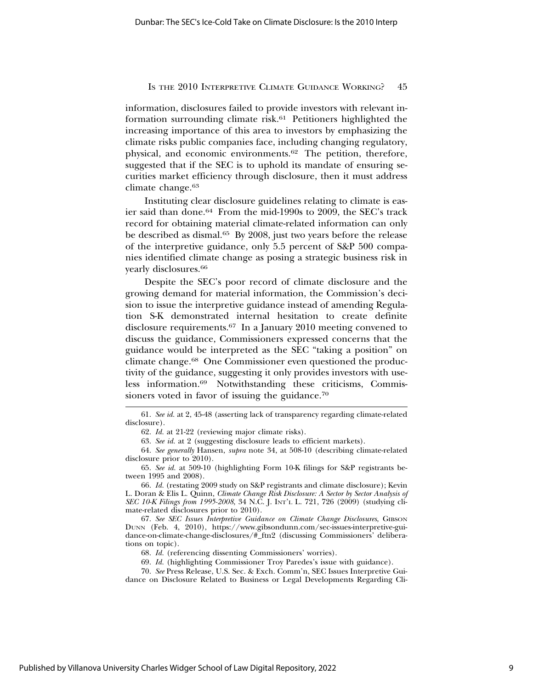information, disclosures failed to provide investors with relevant information surrounding climate risk.<sup>61</sup> Petitioners highlighted the increasing importance of this area to investors by emphasizing the climate risks public companies face, including changing regulatory, physical, and economic environments.62 The petition, therefore, suggested that if the SEC is to uphold its mandate of ensuring securities market efficiency through disclosure, then it must address climate change.63

Instituting clear disclosure guidelines relating to climate is easier said than done.64 From the mid-1990s to 2009, the SEC's track record for obtaining material climate-related information can only be described as dismal.<sup>65</sup> By 2008, just two years before the release of the interpretive guidance, only 5.5 percent of S&P 500 companies identified climate change as posing a strategic business risk in yearly disclosures.66

Despite the SEC's poor record of climate disclosure and the growing demand for material information, the Commission's decision to issue the interpretive guidance instead of amending Regulation S-K demonstrated internal hesitation to create definite disclosure requirements.67 In a January 2010 meeting convened to discuss the guidance, Commissioners expressed concerns that the guidance would be interpreted as the SEC "taking a position" on climate change.68 One Commissioner even questioned the productivity of the guidance, suggesting it only provides investors with useless information.69 Notwithstanding these criticisms, Commissioners voted in favor of issuing the guidance.<sup>70</sup>

62. *Id.* at 21-22 (reviewing major climate risks).

63. *See id.* at 2 (suggesting disclosure leads to efficient markets).

64. *See generally* Hansen, *supra* note 34, at 508-10 (describing climate-related disclosure prior to 2010).

65. *See id.* at 509-10 (highlighting Form 10-K filings for S&P registrants between 1995 and 2008).

66. *Id.* (restating 2009 study on S&P registrants and climate disclosure); Kevin L. Doran & Elis L. Quinn, *Climate Change Risk Disclosure: A Sector by Sector Analysis of SEC 10-K Filings from 1995-2008*, 34 N.C. J. INT'L L. 721, 726 (2009) (studying climate-related disclosures prior to 2010).

67. *See SEC Issues Interpretive Guidance on Climate Change Disclosures*, GIBSON DUNN (Feb. 4, 2010), https://www.gibsondunn.com/sec-issues-interpretive-guidance-on-climate-change-disclosures/#\_ftn2 (discussing Commissioners' deliberations on topic).

68. *Id.* (referencing dissenting Commissioners' worries).

69. *Id.* (highlighting Commissioner Troy Paredes's issue with guidance).

70. *See* Press Release, U.S. Sec. & Exch. Comm'n, SEC Issues Interpretive Guidance on Disclosure Related to Business or Legal Developments Regarding Cli-

<sup>61.</sup> *See id.* at 2, 45-48 (asserting lack of transparency regarding climate-related disclosure).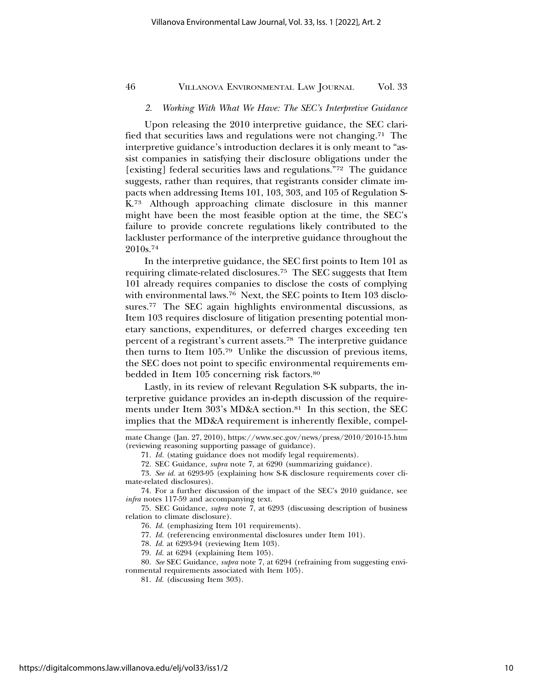# *2. Working With What We Have: The SEC's Interpretive Guidance*

Upon releasing the 2010 interpretive guidance, the SEC clarified that securities laws and regulations were not changing.71 The interpretive guidance's introduction declares it is only meant to "assist companies in satisfying their disclosure obligations under the [existing] federal securities laws and regulations."72 The guidance suggests, rather than requires, that registrants consider climate impacts when addressing Items 101, 103, 303, and 105 of Regulation S-K.73 Although approaching climate disclosure in this manner might have been the most feasible option at the time, the SEC's failure to provide concrete regulations likely contributed to the lackluster performance of the interpretive guidance throughout the 2010s.74

In the interpretive guidance, the SEC first points to Item 101 as requiring climate-related disclosures.75 The SEC suggests that Item 101 already requires companies to disclose the costs of complying with environmental laws.<sup>76</sup> Next, the SEC points to Item 103 disclosures.77 The SEC again highlights environmental discussions, as Item 103 requires disclosure of litigation presenting potential monetary sanctions, expenditures, or deferred charges exceeding ten percent of a registrant's current assets.78 The interpretive guidance then turns to Item 105.79 Unlike the discussion of previous items, the SEC does not point to specific environmental requirements embedded in Item 105 concerning risk factors.80

Lastly, in its review of relevant Regulation S-K subparts, the interpretive guidance provides an in-depth discussion of the requirements under Item 303's MD&A section.<sup>81</sup> In this section, the SEC implies that the MD&A requirement is inherently flexible, compel-

73. *See id.* at 6293-95 (explaining how S-K disclosure requirements cover climate-related disclosures).

74. For a further discussion of the impact of the SEC's 2010 guidance, see *infra* notes 117-59 and accompanying text.

75. SEC Guidance, *supra* note 7, at 6293 (discussing description of business relation to climate disclosure).

76. *Id.* (emphasizing Item 101 requirements).

77. *Id.* (referencing environmental disclosures under Item 101).

78. *Id.* at 6293-94 (reviewing Item 103).

79. *Id.* at 6294 (explaining Item 105).

80. *See* SEC Guidance, *supra* note 7, at 6294 (refraining from suggesting environmental requirements associated with Item 105).

81. *Id.* (discussing Item 303).

mate Change (Jan. 27, 2010), https://www.sec.gov/news/press/2010/2010-15.htm (reviewing reasoning supporting passage of guidance).

<sup>71.</sup> *Id.* (stating guidance does not modify legal requirements).

<sup>72.</sup> SEC Guidance, *supra* note 7, at 6290 (summarizing guidance).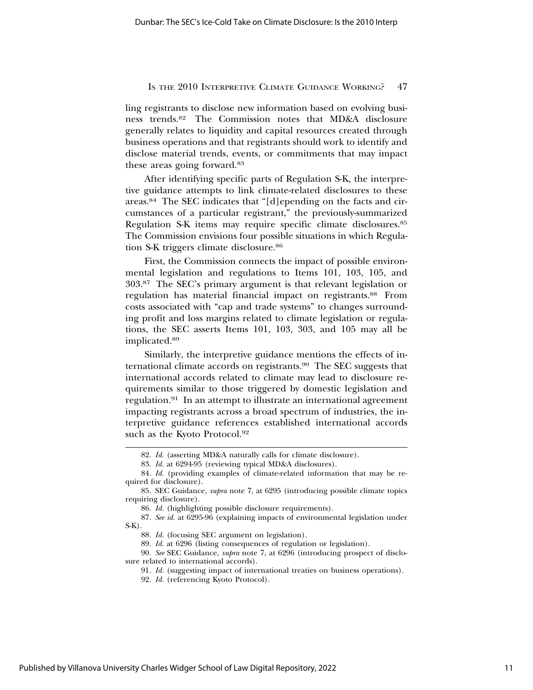ling registrants to disclose new information based on evolving business trends.82 The Commission notes that MD&A disclosure generally relates to liquidity and capital resources created through business operations and that registrants should work to identify and disclose material trends, events, or commitments that may impact these areas going forward.83

After identifying specific parts of Regulation S-K, the interpretive guidance attempts to link climate-related disclosures to these areas.84 The SEC indicates that "[d]epending on the facts and circumstances of a particular registrant," the previously-summarized Regulation S-K items may require specific climate disclosures.85 The Commission envisions four possible situations in which Regulation S-K triggers climate disclosure.86

First, the Commission connects the impact of possible environmental legislation and regulations to Items 101, 103, 105, and 303.87 The SEC's primary argument is that relevant legislation or regulation has material financial impact on registrants.88 From costs associated with "cap and trade systems" to changes surrounding profit and loss margins related to climate legislation or regulations, the SEC asserts Items 101, 103, 303, and 105 may all be implicated.89

Similarly, the interpretive guidance mentions the effects of international climate accords on registrants.<sup>90</sup> The SEC suggests that international accords related to climate may lead to disclosure requirements similar to those triggered by domestic legislation and regulation.91 In an attempt to illustrate an international agreement impacting registrants across a broad spectrum of industries, the interpretive guidance references established international accords such as the Kyoto Protocol.<sup>92</sup>

<sup>82.</sup> *Id.* (asserting MD&A naturally calls for climate disclosure).

<sup>83.</sup> *Id.* at 6294-95 (reviewing typical MD&A disclosures).

<sup>84.</sup> *Id.* (providing examples of climate-related information that may be required for disclosure).

<sup>85.</sup> SEC Guidance, *supra* note 7, at 6295 (introducing possible climate topics requiring disclosure).

<sup>86.</sup> *Id.* (highlighting possible disclosure requirements).

<sup>87.</sup> *See id.* at 6295-96 (explaining impacts of environmental legislation under S-K).

<sup>88.</sup> *Id.* (focusing SEC argument on legislation).

<sup>89.</sup> *Id.* at 6296 (listing consequences of regulation or legislation).

<sup>90.</sup> *See* SEC Guidance, *supra* note 7, at 6296 (introducing prospect of disclosure related to international accords).

<sup>91.</sup> *Id.* (suggesting impact of international treaties on business operations).

<sup>92.</sup> *Id.* (referencing Kyoto Protocol).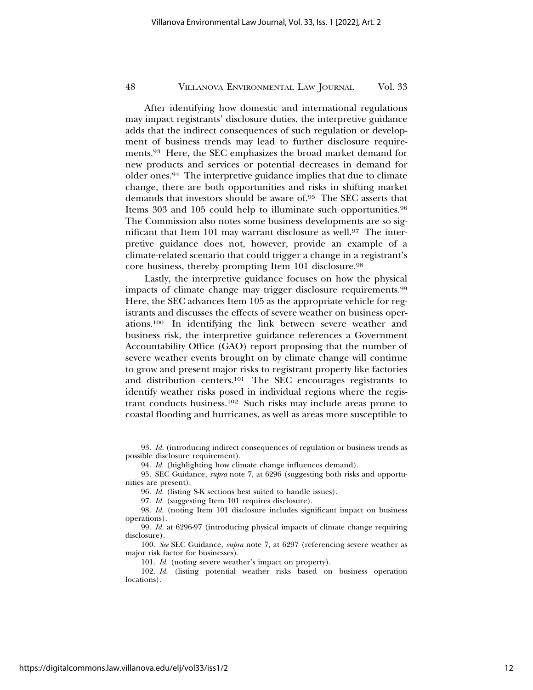After identifying how domestic and international regulations may impact registrants' disclosure duties, the interpretive guidance adds that the indirect consequences of such regulation or development of business trends may lead to further disclosure requirements.93 Here, the SEC emphasizes the broad market demand for new products and services or potential decreases in demand for older ones.94 The interpretive guidance implies that due to climate change, there are both opportunities and risks in shifting market demands that investors should be aware of.95 The SEC asserts that Items 303 and 105 could help to illuminate such opportunities.96 The Commission also notes some business developments are so significant that Item 101 may warrant disclosure as well.97 The interpretive guidance does not, however, provide an example of a climate-related scenario that could trigger a change in a registrant's core business, thereby prompting Item 101 disclosure.98

Lastly, the interpretive guidance focuses on how the physical impacts of climate change may trigger disclosure requirements.99 Here, the SEC advances Item 105 as the appropriate vehicle for registrants and discusses the effects of severe weather on business operations.100 In identifying the link between severe weather and business risk, the interpretive guidance references a Government Accountability Office (GAO) report proposing that the number of severe weather events brought on by climate change will continue to grow and present major risks to registrant property like factories and distribution centers.101 The SEC encourages registrants to identify weather risks posed in individual regions where the registrant conducts business.102 Such risks may include areas prone to coastal flooding and hurricanes, as well as areas more susceptible to

<sup>93.</sup> *Id.* (introducing indirect consequences of regulation or business trends as possible disclosure requirement).

<sup>94.</sup> *Id.* (highlighting how climate change influences demand).

<sup>95.</sup> SEC Guidance, *supra* note 7, at 6296 (suggesting both risks and opportunities are present).

<sup>96.</sup> *Id.* (listing S-K sections best suited to handle issues).

<sup>97.</sup> *Id.* (suggesting Item 101 requires disclosure).

<sup>98.</sup> *Id.* (noting Item 101 disclosure includes significant impact on business operations).

<sup>99.</sup> *Id.* at 6296-97 (introducing physical impacts of climate change requiring disclosure).

<sup>100.</sup> *See* SEC Guidance, *supra* note 7, at 6297 (referencing severe weather as major risk factor for businesses).

<sup>101.</sup> *Id.* (noting severe weather's impact on property).

<sup>102.</sup> *Id.* (listing potential weather risks based on business operation locations).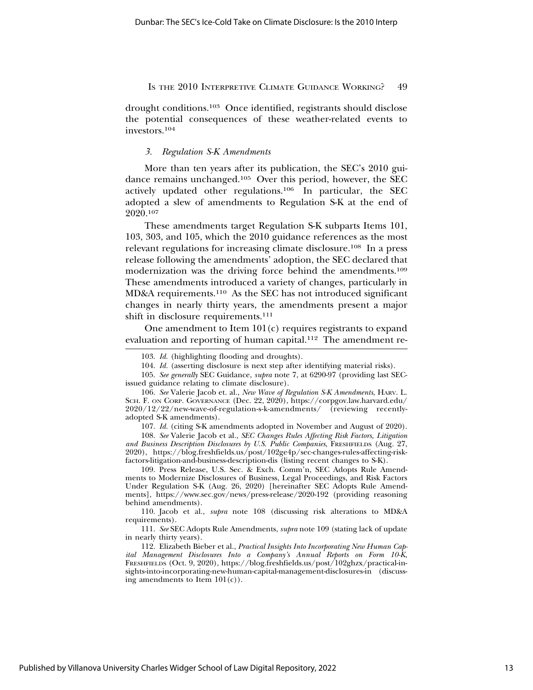drought conditions.103 Once identified, registrants should disclose the potential consequences of these weather-related events to investors.104

# *3. Regulation S-K Amendments*

More than ten years after its publication, the SEC's 2010 guidance remains unchanged.105 Over this period, however, the SEC actively updated other regulations.106 In particular, the SEC adopted a slew of amendments to Regulation S-K at the end of 2020.107

These amendments target Regulation S-K subparts Items 101, 103, 303, and 105, which the 2010 guidance references as the most relevant regulations for increasing climate disclosure.108 In a press release following the amendments' adoption, the SEC declared that modernization was the driving force behind the amendments.109 These amendments introduced a variety of changes, particularly in MD&A requirements.110 As the SEC has not introduced significant changes in nearly thirty years, the amendments present a major shift in disclosure requirements.<sup>111</sup>

One amendment to Item 101(c) requires registrants to expand evaluation and reporting of human capital.<sup>112</sup> The amendment re-

109. Press Release, U.S. Sec. & Exch. Comm'n, SEC Adopts Rule Amendments to Modernize Disclosures of Business, Legal Proceedings, and Risk Factors Under Regulation S-K (Aug. 26, 2020) [hereinafter SEC Adopts Rule Amendments], https://www.sec.gov/news/press-release/2020-192 (providing reasoning behind amendments).

110. Jacob et al., *supra* note 108 (discussing risk alterations to MD&A requirements).

<sup>103.</sup> *Id.* (highlighting flooding and droughts).

<sup>104.</sup> *Id.* (asserting disclosure is next step after identifying material risks).

<sup>105.</sup> *See generally* SEC Guidance, *supra* note 7, at 6290-97 (providing last SECissued guidance relating to climate disclosure).

<sup>106.</sup> *See* Valerie Jacob et. al., *New Wave of Regulation S-K Amendments*, HARV. L. SCH. F. ON CORP. GOVERNANCE (Dec. 22, 2020), https://corpgov.law.harvard.edu/ 2020/12/22/new-wave-of-regulation-s-k-amendments/ (reviewing recentlyadopted S-K amendments).

<sup>107.</sup> *Id.* (citing S-K amendments adopted in November and August of 2020).

<sup>108.</sup> *See* Valerie Jacob et al., *SEC Changes Rules Affecting Risk Factors, Litigation and Business Description Disclosures by U.S. Public Companies*, FRESHFIELDS (Aug. 27, 2020), https://blog.freshfields.us/post/102ge4p/sec-changes-rules-affecting-riskfactors-litigation-and-business-description-dis (listing recent changes to S-K).

<sup>111.</sup> *See* SEC Adopts Rule Amendments, *supra* note 109 (stating lack of update in nearly thirty years).

<sup>112.</sup> Elizabeth Bieber et al., *Practical Insights Into Incorporating New Human Capital Management Disclosures Into a Company's Annual Reports on Form 10-K*, FRESHFIELDS (Oct. 9, 2020), https://blog.freshfields.us/post/102ghzx/practical-insights-into-incorporating-new-human-capital-management-disclosures-in (discussing amendments to Item  $101(c)$ ).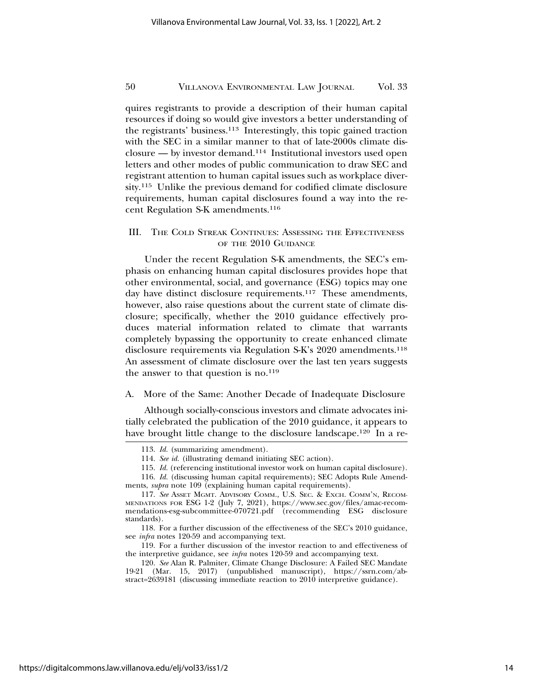quires registrants to provide a description of their human capital resources if doing so would give investors a better understanding of the registrants' business.113 Interestingly, this topic gained traction with the SEC in a similar manner to that of late-2000s climate disclosure — by investor demand.114 Institutional investors used open letters and other modes of public communication to draw SEC and registrant attention to human capital issues such as workplace diversity.115 Unlike the previous demand for codified climate disclosure requirements, human capital disclosures found a way into the recent Regulation S-K amendments.116

# III. THE COLD STREAK CONTINUES: ASSESSING THE EFFECTIVENESS OF THE 2010 GUIDANCE

Under the recent Regulation S-K amendments, the SEC's emphasis on enhancing human capital disclosures provides hope that other environmental, social, and governance (ESG) topics may one day have distinct disclosure requirements.<sup>117</sup> These amendments, however, also raise questions about the current state of climate disclosure; specifically, whether the 2010 guidance effectively produces material information related to climate that warrants completely bypassing the opportunity to create enhanced climate disclosure requirements via Regulation S-K's 2020 amendments.118 An assessment of climate disclosure over the last ten years suggests the answer to that question is no. $119$ 

### A. More of the Same: Another Decade of Inadequate Disclosure

Although socially-conscious investors and climate advocates initially celebrated the publication of the 2010 guidance, it appears to have brought little change to the disclosure landscape.<sup>120</sup> In a re-

<sup>113.</sup> *Id.* (summarizing amendment).

<sup>114.</sup> *See id.* (illustrating demand initiating SEC action).

<sup>115.</sup> *Id.* (referencing institutional investor work on human capital disclosure).

<sup>116.</sup> *Id.* (discussing human capital requirements); SEC Adopts Rule Amendments, *supra* note 109 (explaining human capital requirements).

<sup>117.</sup> *See* ASSET MGMT. ADVISORY COMM., U.S. SEC. & EXCH. COMM'N, RECOM-MENDATIONS FOR ESG 1-2 (July 7, 2021), https://www.sec.gov/files/amac-recommendations-esg-subcommittee-070721.pdf (recommending ESG disclosure standards).

<sup>118.</sup> For a further discussion of the effectiveness of the SEC's 2010 guidance, see *infra* notes 120-59 and accompanying text.

<sup>119.</sup> For a further discussion of the investor reaction to and effectiveness of the interpretive guidance, see *infra* notes 120-59 and accompanying text.

<sup>120.</sup> *See* Alan R. Palmiter, Climate Change Disclosure: A Failed SEC Mandate 19-21 (Mar. 15, 2017) (unpublished manuscript), https://ssrn.com/abstract=2639181 (discussing immediate reaction to 2010 interpretive guidance).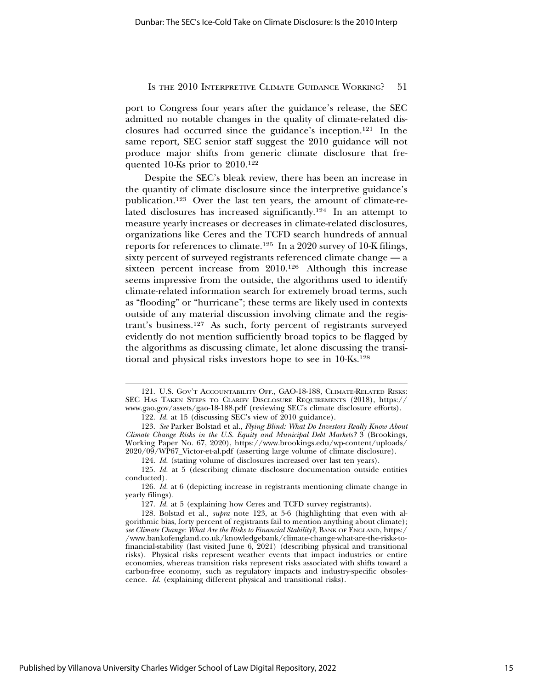port to Congress four years after the guidance's release, the SEC admitted no notable changes in the quality of climate-related disclosures had occurred since the guidance's inception.121 In the same report, SEC senior staff suggest the 2010 guidance will not produce major shifts from generic climate disclosure that frequented 10-Ks prior to 2010.122

Despite the SEC's bleak review, there has been an increase in the quantity of climate disclosure since the interpretive guidance's publication.123 Over the last ten years, the amount of climate-related disclosures has increased significantly.124 In an attempt to measure yearly increases or decreases in climate-related disclosures, organizations like Ceres and the TCFD search hundreds of annual reports for references to climate.125 In a 2020 survey of 10-K filings, sixty percent of surveyed registrants referenced climate change — a sixteen percent increase from 2010.126 Although this increase seems impressive from the outside, the algorithms used to identify climate-related information search for extremely broad terms, such as "flooding" or "hurricane"; these terms are likely used in contexts outside of any material discussion involving climate and the registrant's business.127 As such, forty percent of registrants surveyed evidently do not mention sufficiently broad topics to be flagged by the algorithms as discussing climate, let alone discussing the transitional and physical risks investors hope to see in 10-Ks.128

<sup>121.</sup> U.S. GOV'T ACCOUNTABILITY OFF., GAO-18-188, CLIMATE-RELATED RISKS: SEC HAS TAKEN STEPS TO CLARIFY DISCLOSURE REQUIREMENTS (2018), https:// www.gao.gov/assets/gao-18-188.pdf (reviewing SEC's climate disclosure efforts).

<sup>122.</sup> *Id.* at 15 (discussing SEC's view of 2010 guidance).

<sup>123.</sup> *See* Parker Bolstad et al., *Flying Blind: What Do Investors Really Know About Climate Change Risks in the U.S. Equity and Municipal Debt Markets?* 3 (Brookings, Working Paper No. 67, 2020), https://www.brookings.edu/wp-content/uploads/ 2020/09/WP67\_Victor-et-al.pdf (asserting large volume of climate disclosure).

<sup>124.</sup> *Id.* (stating volume of disclosures increased over last ten years).

<sup>125.</sup> *Id.* at 5 (describing climate disclosure documentation outside entities conducted).

<sup>126.</sup> *Id.* at 6 (depicting increase in registrants mentioning climate change in yearly filings).

<sup>127.</sup> *Id.* at 5 (explaining how Ceres and TCFD survey registrants).

<sup>128.</sup> Bolstad et al., *supra* note 123, at 5-6 (highlighting that even with algorithmic bias, forty percent of registrants fail to mention anything about climate); *see Climate Change: What Are the Risks to Financial Stability?*, BANK OF ENGLAND, https:/ /www.bankofengland.co.uk/knowledgebank/climate-change-what-are-the-risks-tofinancial-stability (last visited June 6, 2021) (describing physical and transitional risks). Physical risks represent weather events that impact industries or entire economies, whereas transition risks represent risks associated with shifts toward a carbon-free economy, such as regulatory impacts and industry-specific obsolescence. *Id.* (explaining different physical and transitional risks).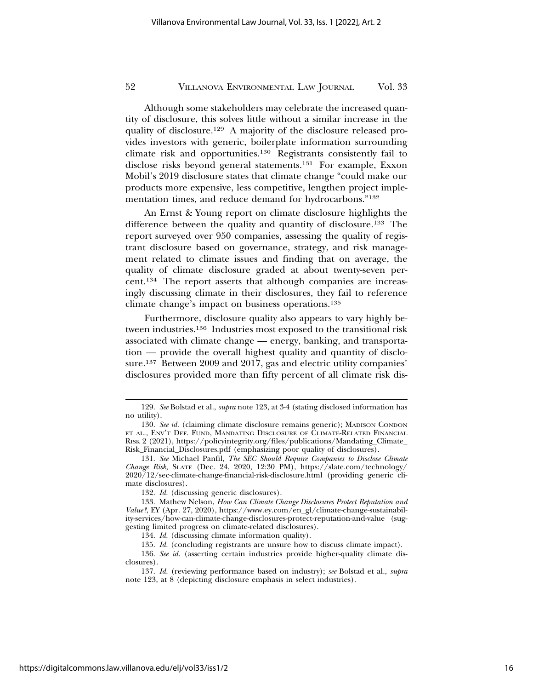Although some stakeholders may celebrate the increased quantity of disclosure, this solves little without a similar increase in the quality of disclosure.129 A majority of the disclosure released provides investors with generic, boilerplate information surrounding climate risk and opportunities.130 Registrants consistently fail to disclose risks beyond general statements.131 For example, Exxon Mobil's 2019 disclosure states that climate change "could make our products more expensive, less competitive, lengthen project implementation times, and reduce demand for hydrocarbons."132

An Ernst & Young report on climate disclosure highlights the difference between the quality and quantity of disclosure.133 The report surveyed over 950 companies, assessing the quality of registrant disclosure based on governance, strategy, and risk management related to climate issues and finding that on average, the quality of climate disclosure graded at about twenty-seven percent.134 The report asserts that although companies are increasingly discussing climate in their disclosures, they fail to reference climate change's impact on business operations.135

Furthermore, disclosure quality also appears to vary highly between industries.136 Industries most exposed to the transitional risk associated with climate change — energy, banking, and transportation — provide the overall highest quality and quantity of disclosure.137 Between 2009 and 2017, gas and electric utility companies' disclosures provided more than fifty percent of all climate risk dis-

132. *Id.* (discussing generic disclosures).

134. *Id.* (discussing climate information quality).

<sup>129.</sup> *See* Bolstad et al., *supra* note 123, at 3-4 (stating disclosed information has no utility).

<sup>130.</sup> *See id.* (claiming climate disclosure remains generic); MADISON CONDON ET AL., ENV'T DEF. FUND, MANDATING DISCLOSURE OF CLIMATE-RELATED FINANCIAL RISK 2 (2021), https://policyintegrity.org/files/publications/Mandating\_Climate\_ Risk\_Financial\_Disclosures.pdf (emphasizing poor quality of disclosures).

<sup>131.</sup> *See* Michael Panfil, *The SEC Should Require Companies to Disclose Climate Change Risk*, SLATE (Dec. 24, 2020, 12:30 PM), https://slate.com/technology/ 2020/12/sec-climate-change-financial-risk-disclosure.html (providing generic climate disclosures).

<sup>133.</sup> Mathew Nelson, *How Can Climate Change Disclosures Protect Reputation and Value?*, EY (Apr. 27, 2020), https://www.ey.com/en\_gl/climate-change-sustainability-services/how-can-climate-change-disclosures-protect-reputation-and-value (suggesting limited progress on climate-related disclosures).

<sup>135.</sup> *Id.* (concluding registrants are unsure how to discuss climate impact).

<sup>136.</sup> *See id.* (asserting certain industries provide higher-quality climate disclosures).

<sup>137.</sup> *Id.* (reviewing performance based on industry); *see* Bolstad et al., *supra* note 123, at 8 (depicting disclosure emphasis in select industries).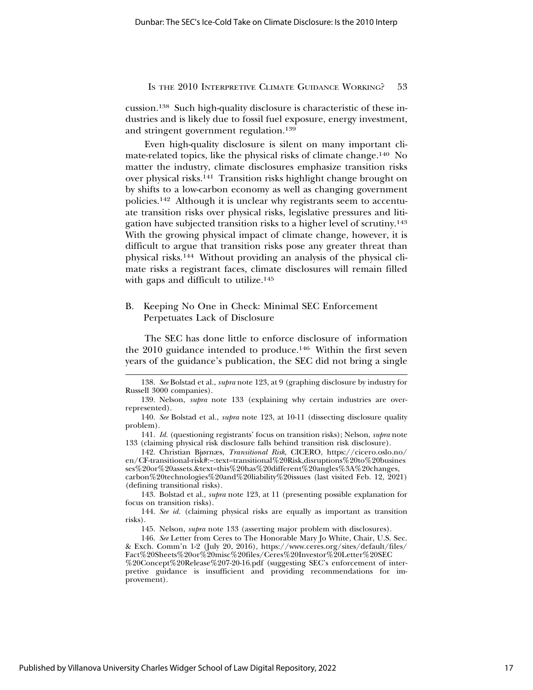cussion.138 Such high-quality disclosure is characteristic of these industries and is likely due to fossil fuel exposure, energy investment, and stringent government regulation.139

Even high-quality disclosure is silent on many important climate-related topics, like the physical risks of climate change.140 No matter the industry, climate disclosures emphasize transition risks over physical risks.141 Transition risks highlight change brought on by shifts to a low-carbon economy as well as changing government policies.142 Although it is unclear why registrants seem to accentuate transition risks over physical risks, legislative pressures and litigation have subjected transition risks to a higher level of scrutiny.143 With the growing physical impact of climate change, however, it is difficult to argue that transition risks pose any greater threat than physical risks.144 Without providing an analysis of the physical climate risks a registrant faces, climate disclosures will remain filled with gaps and difficult to utilize.<sup>145</sup>

# B. Keeping No One in Check: Minimal SEC Enforcement Perpetuates Lack of Disclosure

The SEC has done little to enforce disclosure of information the 2010 guidance intended to produce.<sup>146</sup> Within the first seven years of the guidance's publication, the SEC did not bring a single

143. Bolstad et al., *supra* note 123, at 11 (presenting possible explanation for focus on transition risks).

144. *See id.* (claiming physical risks are equally as important as transition risks).

145. Nelson, *supra* note 133 (asserting major problem with disclosures).

146. *See* Letter from Ceres to The Honorable Mary Jo White, Chair, U.S. Sec. & Exch. Comm'n 1-2 (July 20, 2016), https://www.ceres.org/sites/default/files/ Fact%20Sheets%20or%20misc%20files/Ceres%20Investor%20Letter%20SEC %20Concept%20Release%207-20-16.pdf (suggesting SEC's enforcement of interpretive guidance is insufficient and providing recommendations for improvement).

<sup>138.</sup> *See* Bolstad et al., *supra* note 123, at 9 (graphing disclosure by industry for Russell 3000 companies).

<sup>139.</sup> Nelson, *supra* note 133 (explaining why certain industries are overrepresented).

<sup>140.</sup> *See* Bolstad et al., *supra* note 123, at 10-11 (dissecting disclosure quality problem).

<sup>141.</sup> *Id.* (questioning registrants' focus on transition risks); Nelson, *supra* note 133 (claiming physical risk disclosure falls behind transition risk disclosure).

<sup>142.</sup> Christian Bjørnæs, *Transitional Risk*, CICERO, https://cicero.oslo.no/ en/CF-transitional-risk#:~:text=transitional%20Risk,disruptions%20to%20busines ses%20or%20assets.&text=this%20has%20different%20angles%3A%20changes, carbon%20technologies%20and%20liability%20issues (last visited Feb. 12, 2021) (defining transitional risks).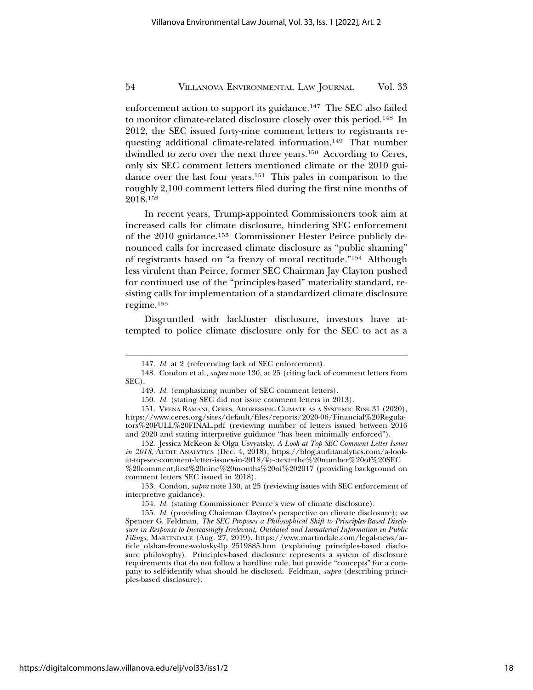enforcement action to support its guidance.147 The SEC also failed to monitor climate-related disclosure closely over this period.148 In 2012, the SEC issued forty-nine comment letters to registrants requesting additional climate-related information.<sup>149</sup> That number dwindled to zero over the next three years.<sup>150</sup> According to Ceres, only six SEC comment letters mentioned climate or the 2010 guidance over the last four years.151 This pales in comparison to the roughly 2,100 comment letters filed during the first nine months of 2018.152

In recent years, Trump-appointed Commissioners took aim at increased calls for climate disclosure, hindering SEC enforcement of the 2010 guidance.153 Commissioner Hester Peirce publicly denounced calls for increased climate disclosure as "public shaming" of registrants based on "a frenzy of moral rectitude."154 Although less virulent than Peirce, former SEC Chairman Jay Clayton pushed for continued use of the "principles-based" materiality standard, resisting calls for implementation of a standardized climate disclosure regime.155

Disgruntled with lackluster disclosure, investors have attempted to police climate disclosure only for the SEC to act as a

153. Condon, *supra* note 130, at 25 (reviewing issues with SEC enforcement of interpretive guidance).

<sup>147.</sup> *Id.* at 2 (referencing lack of SEC enforcement).

<sup>148.</sup> Condon et al., *supra* note 130, at 25 (citing lack of comment letters from SEC).

<sup>149.</sup> *Id.* (emphasizing number of SEC comment letters).

<sup>150.</sup> *Id.* (stating SEC did not issue comment letters in 2013).

<sup>151.</sup> VEENA RAMANI, CERES, ADDRESSING CLIMATE AS A SYSTEMIC RISK 31 (2020), https://www.ceres.org/sites/default/files/reports/2020-06/Financial%20Regulators%20FULL%20FINAL.pdf (reviewing number of letters issued between 2016 and 2020 and stating interpretive guidance "has been minimally enforced").

<sup>152.</sup> Jessica McKeon & Olga Usvyatsky, *A Look at Top SEC Comment Letter Issues in 2018*, AUDIT ANALYTICS (Dec. 4, 2018), https://blog.auditanalytics.com/a-lookat-top-sec-comment-letter-issues-in-2018/#:~:text=the%20number%20of%20SEC %20comment,first%20nine%20months%20of%202017 (providing background on comment letters SEC issued in 2018).

<sup>154.</sup> *Id.* (stating Commissioner Peirce's view of climate disclosure).

<sup>155.</sup> *Id.* (providing Chairman Clayton's perspective on climate disclosure); *see* Spencer G. Feldman, *The SEC Proposes a Philosophical Shift to Principles-Based Disclosure in Response to Increasingly Irrelevant, Outdated and Immaterial Information in Public Filings*, MARTINDALE (Aug. 27, 2019), https://www.martindale.com/legal-news/article\_olshan-frome-wolosky-llp\_2519885.htm (explaining principles-based disclosure philosophy). Principles-based disclosure represents a system of disclosure requirements that do not follow a hardline rule, but provide "concepts" for a company to self-identify what should be disclosed. Feldman, *supra* (describing principles-based disclosure).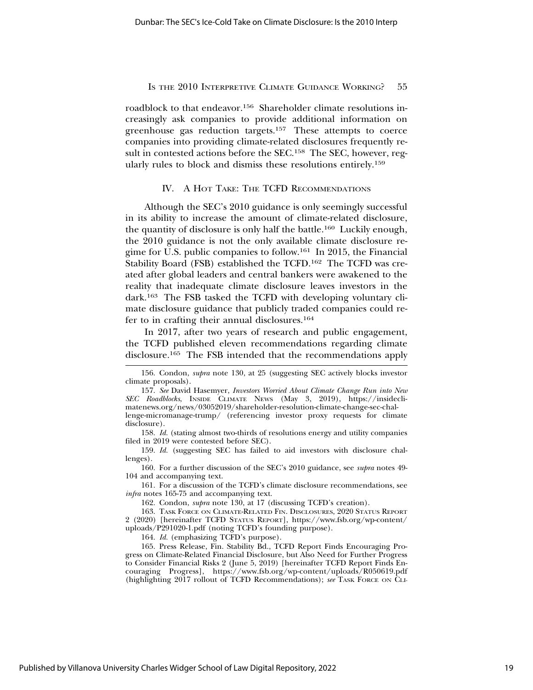roadblock to that endeavor.<sup>156</sup> Shareholder climate resolutions increasingly ask companies to provide additional information on greenhouse gas reduction targets.157 These attempts to coerce companies into providing climate-related disclosures frequently result in contested actions before the SEC.<sup>158</sup> The SEC, however, regularly rules to block and dismiss these resolutions entirely.159

# IV. A HOT TAKE: THE TCFD RECOMMENDATIONS

Although the SEC's 2010 guidance is only seemingly successful in its ability to increase the amount of climate-related disclosure, the quantity of disclosure is only half the battle.160 Luckily enough, the 2010 guidance is not the only available climate disclosure regime for U.S. public companies to follow.161 In 2015, the Financial Stability Board (FSB) established the TCFD.162 The TCFD was created after global leaders and central bankers were awakened to the reality that inadequate climate disclosure leaves investors in the dark.163 The FSB tasked the TCFD with developing voluntary climate disclosure guidance that publicly traded companies could refer to in crafting their annual disclosures.164

In 2017, after two years of research and public engagement, the TCFD published eleven recommendations regarding climate disclosure.165 The FSB intended that the recommendations apply

disclosure).

158. *Id.* (stating almost two-thirds of resolutions energy and utility companies filed in 2019 were contested before SEC).

159. *Id.* (suggesting SEC has failed to aid investors with disclosure challenges).

160. For a further discussion of the SEC's 2010 guidance, see *supra* notes 49- 104 and accompanying text.

161. For a discussion of the TCFD's climate disclosure recommendations, see *infra* notes 165-75 and accompanying text.

162. Condon, *supra* note 130, at 17 (discussing TCFD's creation).

163. TASK FORCE ON CLIMATE-RELATED FIN. DISCLOSURES, 2020 STATUS REPORT

2 (2020) [hereinafter TCFD STATUS REPORT], https://www.fsb.org/wp-content/ uploads/P291020-1.pdf (noting TCFD's founding purpose).

164. *Id.* (emphasizing TCFD's purpose).

165. Press Release, Fin. Stability Bd., TCFD Report Finds Encouraging Progress on Climate-Related Financial Disclosure, but Also Need for Further Progress to Consider Financial Risks 2 (June 5, 2019) [hereinafter TCFD Report Finds Encouraging Progress], https://www.fsb.org/wp-content/uploads/R050619.pdf (highlighting 2017 rollout of TCFD Recommendations); *see* TASK FORCE ON CLI-

<sup>156.</sup> Condon, *supra* note 130, at 25 (suggesting SEC actively blocks investor climate proposals).

<sup>157.</sup> *See* David Hasemyer, *Investors Worried About Climate Change Run into New SEC Roadblocks*, INSIDE CLIMATE NEWS (May 3, 2019), https://insideclimatenews.org/news/03052019/shareholder-resolution-climate-change-sec-challenge-micromanage-trump/ (referencing investor proxy requests for climate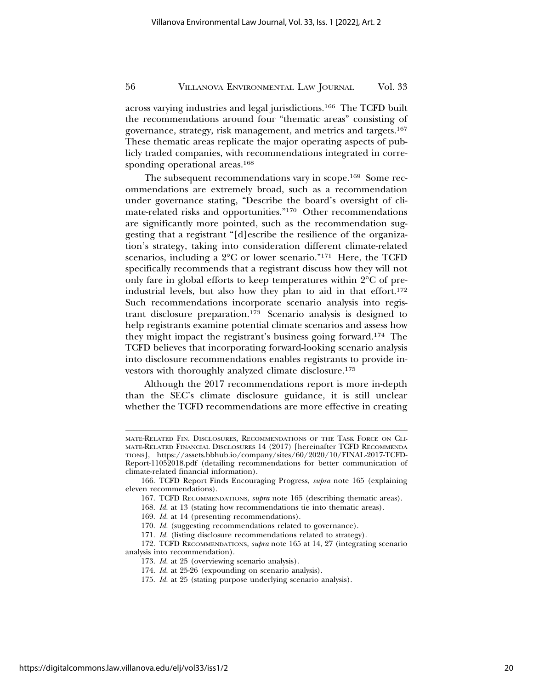across varying industries and legal jurisdictions.166 The TCFD built the recommendations around four "thematic areas" consisting of governance, strategy, risk management, and metrics and targets.167 These thematic areas replicate the major operating aspects of publicly traded companies, with recommendations integrated in corresponding operational areas.<sup>168</sup>

The subsequent recommendations vary in scope.169 Some recommendations are extremely broad, such as a recommendation under governance stating, "Describe the board's oversight of climate-related risks and opportunities."170 Other recommendations are significantly more pointed, such as the recommendation suggesting that a registrant "[d]escribe the resilience of the organization's strategy, taking into consideration different climate-related scenarios, including a 2°C or lower scenario."171 Here, the TCFD specifically recommends that a registrant discuss how they will not only fare in global efforts to keep temperatures within 2°C of preindustrial levels, but also how they plan to aid in that effort.172 Such recommendations incorporate scenario analysis into registrant disclosure preparation.173 Scenario analysis is designed to help registrants examine potential climate scenarios and assess how they might impact the registrant's business going forward.174 The TCFD believes that incorporating forward-looking scenario analysis into disclosure recommendations enables registrants to provide investors with thoroughly analyzed climate disclosure.175

Although the 2017 recommendations report is more in-depth than the SEC's climate disclosure guidance, it is still unclear whether the TCFD recommendations are more effective in creating

MATE-RELATED FIN. DISCLOSURES, RECOMMENDATIONS OF THE TASK FORCE ON CLI-MATE-RELATED FINANCIAL DISCLOSURES 14 (2017) [hereinafter TCFD RECOMMENDA TIONS], https://assets.bbhub.io/company/sites/60/2020/10/FINAL-2017-TCFD-Report-11052018.pdf (detailing recommendations for better communication of climate-related financial information).

<sup>166.</sup> TCFD Report Finds Encouraging Progress, *supra* note 165 (explaining eleven recommendations).

<sup>167.</sup> TCFD RECOMMENDATIONS, *supra* note 165 (describing thematic areas).

<sup>168.</sup> *Id.* at 13 (stating how recommendations tie into thematic areas).

<sup>169.</sup> *Id.* at 14 (presenting recommendations).

<sup>170.</sup> *Id.* (suggesting recommendations related to governance).

<sup>171.</sup> *Id.* (listing disclosure recommendations related to strategy).

<sup>172.</sup> TCFD RECOMMENDATIONS, *supra* note 165 at 14, 27 (integrating scenario analysis into recommendation).

<sup>173.</sup> *Id.* at 25 (overviewing scenario analysis).

<sup>174.</sup> *Id.* at 25-26 (expounding on scenario analysis).

<sup>175.</sup> *Id.* at 25 (stating purpose underlying scenario analysis).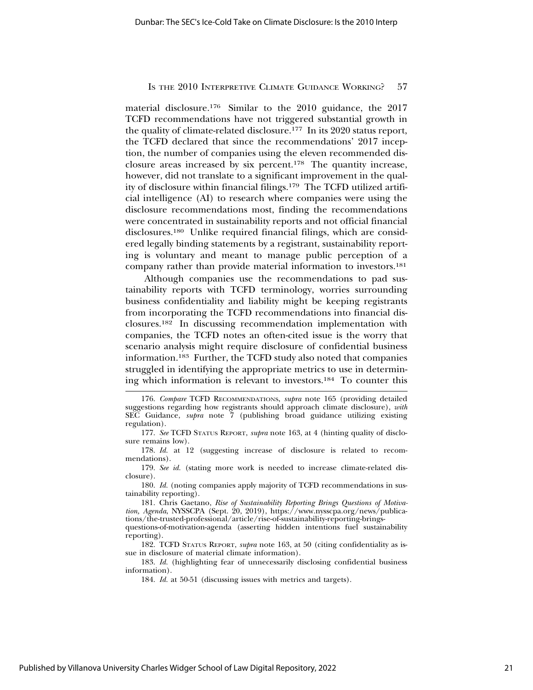material disclosure.176 Similar to the 2010 guidance, the 2017 TCFD recommendations have not triggered substantial growth in the quality of climate-related disclosure.177 In its 2020 status report, the TCFD declared that since the recommendations' 2017 inception, the number of companies using the eleven recommended disclosure areas increased by six percent.178 The quantity increase, however, did not translate to a significant improvement in the quality of disclosure within financial filings.179 The TCFD utilized artificial intelligence (AI) to research where companies were using the disclosure recommendations most, finding the recommendations were concentrated in sustainability reports and not official financial disclosures.180 Unlike required financial filings, which are considered legally binding statements by a registrant, sustainability reporting is voluntary and meant to manage public perception of a company rather than provide material information to investors.181

Although companies use the recommendations to pad sustainability reports with TCFD terminology, worries surrounding business confidentiality and liability might be keeping registrants from incorporating the TCFD recommendations into financial disclosures.182 In discussing recommendation implementation with companies, the TCFD notes an often-cited issue is the worry that scenario analysis might require disclosure of confidential business information.183 Further, the TCFD study also noted that companies struggled in identifying the appropriate metrics to use in determining which information is relevant to investors.184 To counter this

183. *Id.* (highlighting fear of unnecessarily disclosing confidential business information).

<sup>176.</sup> *Compare* TCFD RECOMMENDATIONS, *supra* note 165 (providing detailed suggestions regarding how registrants should approach climate disclosure), *with* SEC Guidance, *supra* note 7 (publishing broad guidance utilizing existing regulation).

<sup>177.</sup> *See* TCFD STATUS REPORT, *supra* note 163, at 4 (hinting quality of disclosure remains low).

<sup>178.</sup> *Id.* at 12 (suggesting increase of disclosure is related to recommendations).

<sup>179.</sup> *See id.* (stating more work is needed to increase climate-related disclosure).

<sup>180.</sup> *Id.* (noting companies apply majority of TCFD recommendations in sustainability reporting).

<sup>181.</sup> Chris Gaetano, *Rise of Sustainability Reporting Brings Questions of Motivation, Agenda*, NYSSCPA (Sept. 20, 2019), https://www.nysscpa.org/news/publications/the-trusted-professional/article/rise-of-sustainability-reporting-bringsquestions-of-motivation-agenda (asserting hidden intentions fuel sustainability reporting).

<sup>182.</sup> TCFD STATUS REPORT, *supra* note 163, at 50 (citing confidentiality as issue in disclosure of material climate information).

<sup>184.</sup> *Id.* at 50-51 (discussing issues with metrics and targets).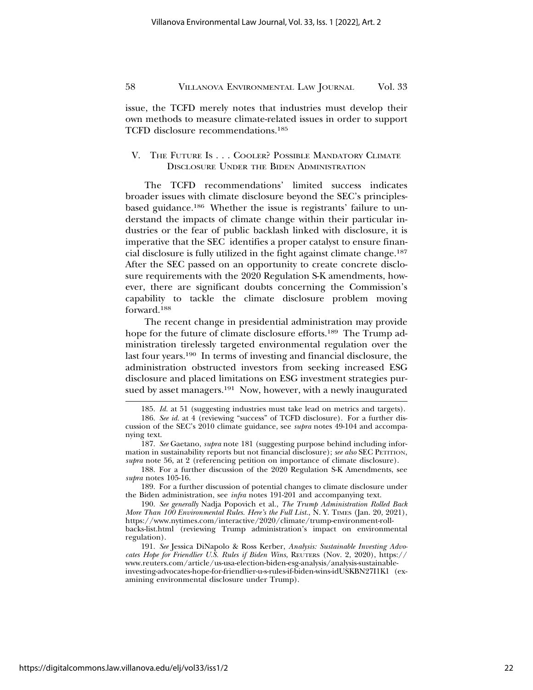issue, the TCFD merely notes that industries must develop their own methods to measure climate-related issues in order to support TCFD disclosure recommendations.185

# V. THE FUTURE IS . . . COOLER? POSSIBLE MANDATORY CLIMATE DISCLOSURE UNDER THE BIDEN ADMINISTRATION

The TCFD recommendations' limited success indicates broader issues with climate disclosure beyond the SEC's principlesbased guidance.186 Whether the issue is registrants' failure to understand the impacts of climate change within their particular industries or the fear of public backlash linked with disclosure, it is imperative that the SEC identifies a proper catalyst to ensure financial disclosure is fully utilized in the fight against climate change.187 After the SEC passed on an opportunity to create concrete disclosure requirements with the 2020 Regulation S-K amendments, however, there are significant doubts concerning the Commission's capability to tackle the climate disclosure problem moving forward.188

The recent change in presidential administration may provide hope for the future of climate disclosure efforts.<sup>189</sup> The Trump administration tirelessly targeted environmental regulation over the last four years.190 In terms of investing and financial disclosure, the administration obstructed investors from seeking increased ESG disclosure and placed limitations on ESG investment strategies pursued by asset managers.191 Now, however, with a newly inaugurated

<sup>185.</sup> *Id.* at 51 (suggesting industries must take lead on metrics and targets).

<sup>186.</sup> *See id.* at 4 (reviewing "success" of TCFD disclosure). For a further discussion of the SEC's 2010 climate guidance, see *supra* notes 49-104 and accompanying text.

<sup>187.</sup> *See* Gaetano, *supra* note 181 (suggesting purpose behind including information in sustainability reports but not financial disclosure); *see also* SEC PETITION, *supra* note 56, at 2 (referencing petition on importance of climate disclosure).

<sup>188.</sup> For a further discussion of the 2020 Regulation S-K Amendments, see *supra* notes 105-16.

<sup>189.</sup> For a further discussion of potential changes to climate disclosure under the Biden administration, see *infra* notes 191-201 and accompanying text.

<sup>190.</sup> *See generally* Nadja Popovich et al., *The Trump Administration Rolled Back More Than 100 Environmental Rules. Here's the Full List.*, N.Y. TIMES (Jan. 20, 2021), https://www.nytimes.com/interactive/2020/climate/trump-environment-rollbacks-list.html (reviewing Trump administration's impact on environmental regulation).

<sup>191.</sup> *See* Jessica DiNapolo & Ross Kerber, *Analysis: Sustainable Investing Advocates Hope for Friendlier U.S. Rules if Biden Wins*, REUTERS (Nov. 2, 2020), https:// www.reuters.com/article/us-usa-election-biden-esg-analysis/analysis-sustainableinvesting-advocates-hope-for-friendlier-u-s-rules-if-biden-wins-idUSKBN27I1K1 (examining environmental disclosure under Trump).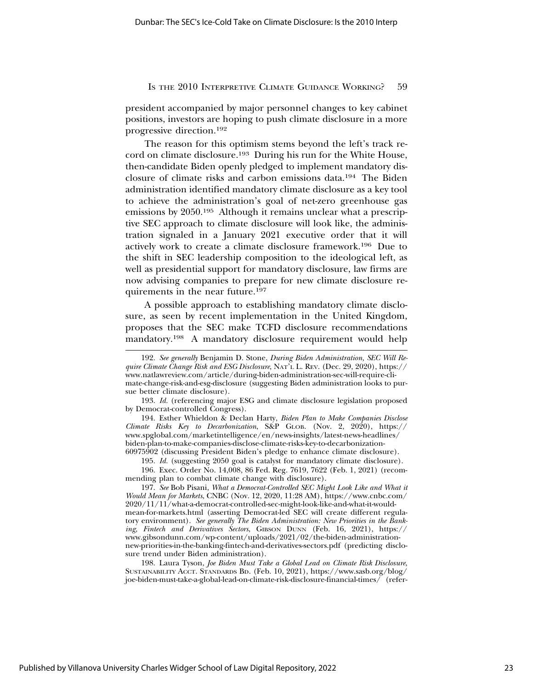president accompanied by major personnel changes to key cabinet positions, investors are hoping to push climate disclosure in a more progressive direction.192

The reason for this optimism stems beyond the left's track record on climate disclosure.193 During his run for the White House, then-candidate Biden openly pledged to implement mandatory disclosure of climate risks and carbon emissions data.194 The Biden administration identified mandatory climate disclosure as a key tool to achieve the administration's goal of net-zero greenhouse gas emissions by 2050.195 Although it remains unclear what a prescriptive SEC approach to climate disclosure will look like, the administration signaled in a January 2021 executive order that it will actively work to create a climate disclosure framework.196 Due to the shift in SEC leadership composition to the ideological left, as well as presidential support for mandatory disclosure, law firms are now advising companies to prepare for new climate disclosure requirements in the near future.197

A possible approach to establishing mandatory climate disclosure, as seen by recent implementation in the United Kingdom, proposes that the SEC make TCFD disclosure recommendations mandatory.198 A mandatory disclosure requirement would help

194. Esther Whieldon & Declan Harty, *Biden Plan to Make Companies Disclose Climate Risks Key to Decarbonization*, S&P GLOB. (Nov. 2, 2020), https:// www.spglobal.com/marketintelligence/en/news-insights/latest-news-headlines/ biden-plan-to-make-companies-disclose-climate-risks-key-to-decarbonization-60975902 (discussing President Biden's pledge to enhance climate disclosure).

195. *Id.* (suggesting 2050 goal is catalyst for mandatory climate disclosure).

196. Exec. Order No. 14,008, 86 Fed. Reg. 7619, 7622 (Feb. 1, 2021) (recommending plan to combat climate change with disclosure).

197. *See* Bob Pisani, *What a Democrat-Controlled SEC Might Look Like and What it Would Mean for Markets*, CNBC (Nov. 12, 2020, 11:28 AM), https://www.cnbc.com/ 2020/11/11/what-a-democrat-controlled-sec-might-look-like-and-what-it-wouldmean-for-markets.html (asserting Democrat-led SEC will create different regulatory environment). *See generally The Biden Administration: New Priorities in the Banking, Fintech and Derivatives Sectors*, GIBSON DUNN (Feb. 16, 2021), https:// www.gibsondunn.com/wp-content/uploads/2021/02/the-biden-administrationnew-priorities-in-the-banking-fintech-and-derivatives-sectors.pdf (predicting disclosure trend under Biden administration).

198. Laura Tyson, *Joe Biden Must Take a Global Lead on Climate Risk Disclosure*, SUSTAINABILITY ACCT. STANDARDS BD. (Feb. 10, 2021), https://www.sasb.org/blog/ joe-biden-must-take-a-global-lead-on-climate-risk-disclosure-financial-times/ (refer-

<sup>192.</sup> *See generally* Benjamin D. Stone, *During Biden Administration, SEC Will Require Climate Change Risk and ESG Disclosure*, NAT'L L. REV. (Dec. 29, 2020), https:// www.natlawreview.com/article/during-biden-administration-sec-will-require-climate-change-risk-and-esg-disclosure (suggesting Biden administration looks to pursue better climate disclosure).

<sup>193.</sup> *Id.* (referencing major ESG and climate disclosure legislation proposed by Democrat-controlled Congress).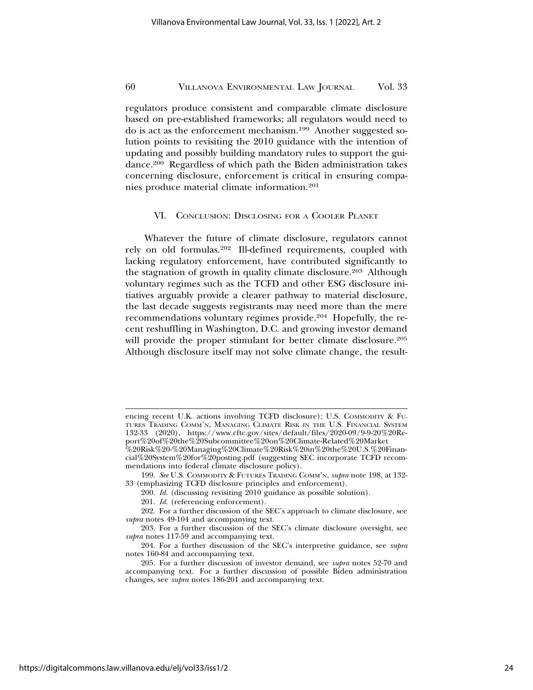regulators produce consistent and comparable climate disclosure based on pre-established frameworks; all regulators would need to do is act as the enforcement mechanism.199 Another suggested solution points to revisiting the 2010 guidance with the intention of updating and possibly building mandatory rules to support the guidance.200 Regardless of which path the Biden administration takes concerning disclosure, enforcement is critical in ensuring companies produce material climate information.201

# VI. CONCLUSION: DISCLOSING FOR A COOLER PLANET

Whatever the future of climate disclosure, regulators cannot rely on old formulas.202 Ill-defined requirements, coupled with lacking regulatory enforcement, have contributed significantly to the stagnation of growth in quality climate disclosure.203 Although voluntary regimes such as the TCFD and other ESG disclosure initiatives arguably provide a clearer pathway to material disclosure, the last decade suggests registrants may need more than the mere recommendations voluntary regimes provide.204 Hopefully, the recent reshuffling in Washington, D.C. and growing investor demand will provide the proper stimulant for better climate disclosure.<sup>205</sup> Although disclosure itself may not solve climate change, the result-

encing recent U.K. actions involving TCFD disclosure); U.S. COMMODITY & FU-TURES TRADING COMM'N, MANAGING CLIMATE RISK IN THE U.S. FINANCIAL SYSTEM 132-33 (2020), https://www.cftc.gov/sites/default/files/2020-09/9-9-20%20Report%20of%20the%20Subcommittee%20on%20Climate-Related%20Market

<sup>%20</sup>Risk%20-%20Managing%20Climate%20Risk%20in%20the%20U.S.%20Financial%20System%20for%20posting.pdf (suggesting SEC incorporate TCFD recommendations into federal climate disclosure policy).

<sup>199.</sup> *See* U.S. COMMODITY & FUTURES TRADING COMM'N, *supra* note 198, at 132- 33 (emphasizing TCFD disclosure principles and enforcement).

<sup>200.</sup> *Id.* (discussing revisiting 2010 guidance as possible solution).

<sup>201.</sup> *Id.* (referencing enforcement).

<sup>202.</sup> For a further discussion of the SEC's approach to climate disclosure, see *supra* notes 49-104 and accompanying text.

<sup>203.</sup> For a further discussion of the SEC's climate disclosure oversight, see *supra* notes 117-59 and accompanying text.

<sup>204.</sup> For a further discussion of the SEC's interpretive guidance, see *supra* notes 160-84 and accompanying text.

<sup>205.</sup> For a further discussion of investor demand, see *supra* notes 52-70 and accompanying text. For a further discussion of possible Biden administration changes, see *supra* notes 186-201 and accompanying text.